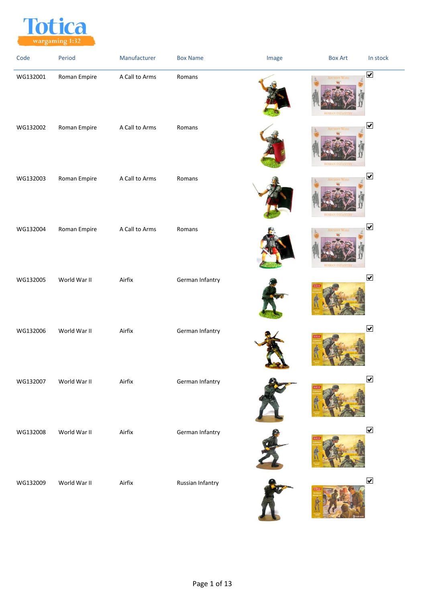

| Code     | Period       | Manufacturer   | <b>Box Name</b>  | Image | <b>Box Art</b><br>In stock   |  |
|----------|--------------|----------------|------------------|-------|------------------------------|--|
| WG132001 | Roman Empire | A Call to Arms | Romans           |       | $\overline{\mathbf{v}}$      |  |
| WG132002 | Roman Empire | A Call to Arms | Romans           |       | $\boxed{\blacktriangledown}$ |  |
| WG132003 | Roman Empire | A Call to Arms | Romans           |       | $\blacktriangledown$         |  |
| WG132004 | Roman Empire | A Call to Arms | Romans           |       | $\blacktriangledown$         |  |
| WG132005 | World War II | Airfix         | German Infantry  |       | $\blacktriangledown$         |  |
| WG132006 | World War II | Airfix         | German Infantry  |       | $\blacktriangledown$         |  |
| WG132007 | World War II | Airfix         | German Infantry  |       | $\blacktriangleright$        |  |
| WG132008 | World War II | Airfix         | German Infantry  |       | $\boxed{\blacktriangledown}$ |  |
| WG132009 | World War II | Airfix         | Russian Infantry |       | $\blacktriangledown$         |  |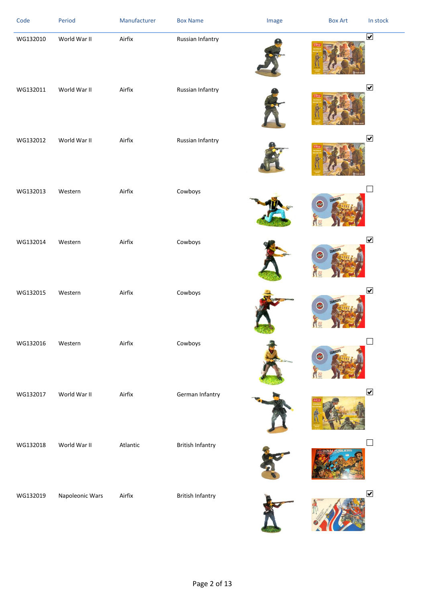| Code     | Period          | Manufacturer | <b>Box Name</b>         | Image | <b>Box Art</b>      | In stock                        |
|----------|-----------------|--------------|-------------------------|-------|---------------------|---------------------------------|
| WG132010 | World War II    | Airfix       | Russian Infantry        |       |                     | $\overline{\blacktriangledown}$ |
| WG132011 | World War II    | Airfix       | Russian Infantry        |       |                     | $\blacktriangledown$            |
| WG132012 | World War II    | Airfix       | Russian Infantry        |       |                     | $\boxed{\blacktriangledown}$    |
| WG132013 | Western         | Airfix       | Cowboys                 |       | COWBOYS<br>零        |                                 |
| WG132014 | Western         | Airfix       | Cowboys                 |       | <b>COWBOY!</b><br>画 | $\blacktriangledown$            |
| WG132015 | Western         | Airfix       | Cowboys                 |       | <b>COWBOY</b><br>轉  | $\blacktriangledown$            |
| WG132016 | Western         | Airfix       | Cowboys                 |       | <b>CAWBOY!</b><br>画 |                                 |
| WG132017 | World War II    | Airfix       | German Infantry         |       |                     | $\blacktriangledown$            |
| WG132018 | World War II    | Atlantic     | <b>British Infantry</b> |       |                     |                                 |
| WG132019 | Napoleonic Wars | Airfix       | <b>British Infantry</b> |       |                     | $\blacktriangledown$            |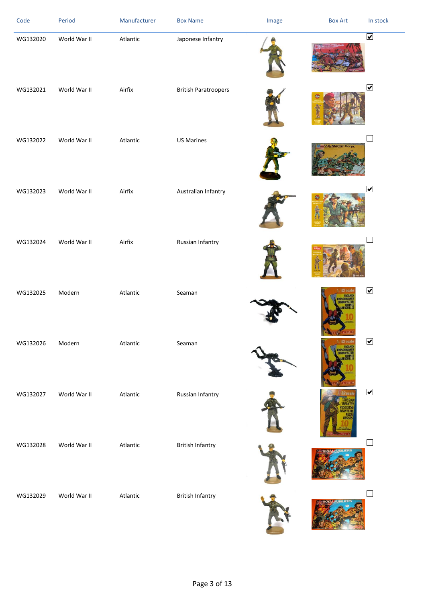| Code     | Period       | Manufacturer | <b>Box Name</b>             | Image | <b>Box Art</b>           | In stock                |
|----------|--------------|--------------|-----------------------------|-------|--------------------------|-------------------------|
| WG132020 | World War II | Atlantic     | Japonese Infantry           |       |                          | $\overline{\mathbf{v}}$ |
| WG132021 | World War II | Airfix       | <b>British Paratroopers</b> |       |                          | $\blacktriangledown$    |
| WG132022 | World War II | Atlantic     | <b>US Marines</b>           |       | <b>U.S. Marine Corps</b> |                         |
| WG132023 | World War II | Airfix       | Australian Infantry         |       |                          | $\blacktriangledown$    |
| WG132024 | World War II | Airfix       | Russian Infantry            |       |                          |                         |
| WG132025 | Modern       | Atlantic     | Seaman                      |       |                          | $\blacktriangledown$    |
| WG132026 | Modern       | Atlantic     | Seaman                      |       |                          | ✔                       |
| WG132027 | World War II | Atlantic     | Russian Infantry            |       |                          | $\blacktriangledown$    |
| WG132028 | World War II | Atlantic     | <b>British Infantry</b>     |       |                          |                         |
| WG132029 | World War II | Atlantic     | <b>British Infantry</b>     |       |                          |                         |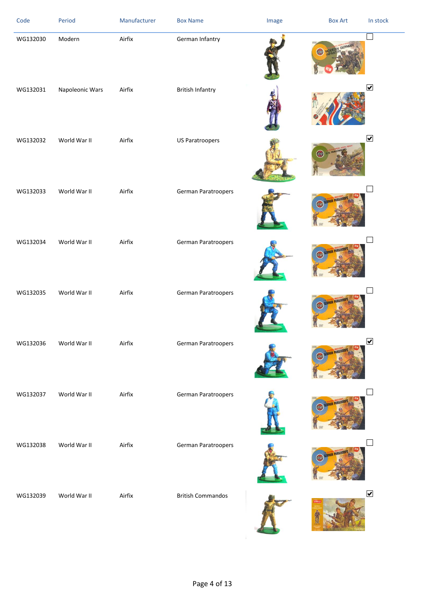| Code     | Period          | Manufacturer | <b>Box Name</b>          | Image | <b>Box Art</b> | In stock                     |
|----------|-----------------|--------------|--------------------------|-------|----------------|------------------------------|
| WG132030 | Modern          | Airfix       | German Infantry          |       |                |                              |
| WG132031 | Napoleonic Wars | Airfix       | <b>British Infantry</b>  |       |                | $\boxed{\blacktriangledown}$ |
| WG132032 | World War II    | Airfix       | <b>US Paratroopers</b>   |       | 鷗              | $\boxed{\blacktriangledown}$ |
| WG132033 | World War II    | Airfix       | German Paratroopers      |       |                |                              |
| WG132034 | World War II    | Airfix       | German Paratroopers      |       |                |                              |
| WG132035 | World War II    | Airfix       | German Paratroopers      |       |                |                              |
| WG132036 | World War II    | Airfix       | German Paratroopers      |       | GERMAN         | $\boxed{\blacktriangledown}$ |
| WG132037 | World War II    | Airfix       | German Paratroopers      |       |                |                              |
| WG132038 | World War II    | Airfix       | German Paratroopers      |       |                |                              |
| WG132039 | World War II    | Airfix       | <b>British Commandos</b> |       |                | $\blacktriangledown$         |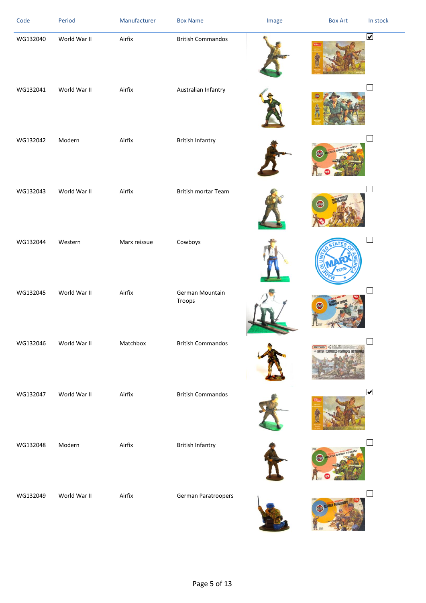| Code     | Period       | Manufacturer | <b>Box Name</b>           | Image | <b>Box Art</b> | In stock                        |
|----------|--------------|--------------|---------------------------|-------|----------------|---------------------------------|
| WG132040 | World War II | Airfix       | <b>British Commandos</b>  |       |                | $\overline{\blacktriangledown}$ |
| WG132041 | World War II | Airfix       | Australian Infantry       |       |                |                                 |
| WG132042 | Modern       | Airfix       | <b>British Infantry</b>   |       |                |                                 |
| WG132043 | World War II | Airfix       | British mortar Team       |       |                |                                 |
| WG132044 | Western      | Marx reissue | Cowboys                   |       |                |                                 |
| WG132045 | World War II | Airfix       | German Mountain<br>Troops |       |                |                                 |
| WG132046 | World War II | Matchbox     | <b>British Commandos</b>  |       | marchaex 49    |                                 |
| WG132047 | World War II | Airfix       | <b>British Commandos</b>  |       |                | $\overline{\mathbf{v}}$         |
| WG132048 | Modern       | Airfix       | <b>British Infantry</b>   |       | NFANTRY        |                                 |
| WG132049 | World War II | Airfix       | German Paratroopers       |       |                |                                 |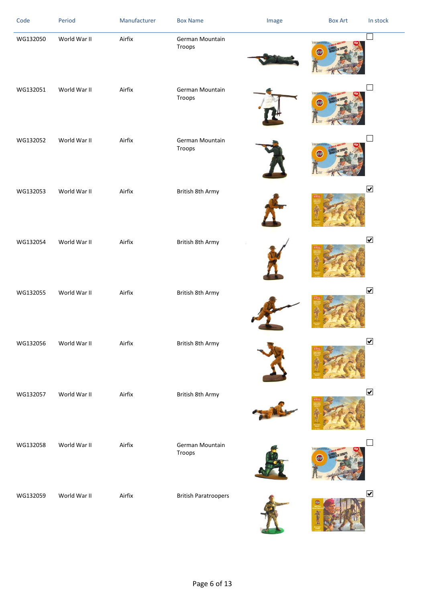| Code     | Period       | Manufacturer | <b>Box Name</b>             | Image | <b>Box Art</b> | In stock                     |
|----------|--------------|--------------|-----------------------------|-------|----------------|------------------------------|
| WG132050 | World War II | Airfix       | German Mountain<br>Troops   |       |                |                              |
| WG132051 | World War II | Airfix       | German Mountain<br>Troops   |       |                |                              |
| WG132052 | World War II | Airfix       | German Mountain<br>Troops   |       |                |                              |
| WG132053 | World War II | Airfix       | British 8th Army            |       |                | $\boxed{\blacktriangledown}$ |
| WG132054 | World War II | Airfix       | British 8th Army            |       |                | $\boxed{\blacktriangledown}$ |
| WG132055 | World War II | Airfix       | British 8th Army            |       |                | $\blacktriangledown$         |
| WG132056 | World War II | Airfix       | British 8th Army            |       |                | $\blacktriangledown$         |
| WG132057 | World War II | Airfix       | British 8th Army            |       |                | $\blacktriangledown$         |
| WG132058 | World War II | Airfix       | German Mountain<br>Troops   |       |                |                              |
| WG132059 | World War II | Airfix       | <b>British Paratroopers</b> |       |                | $\blacktriangledown$         |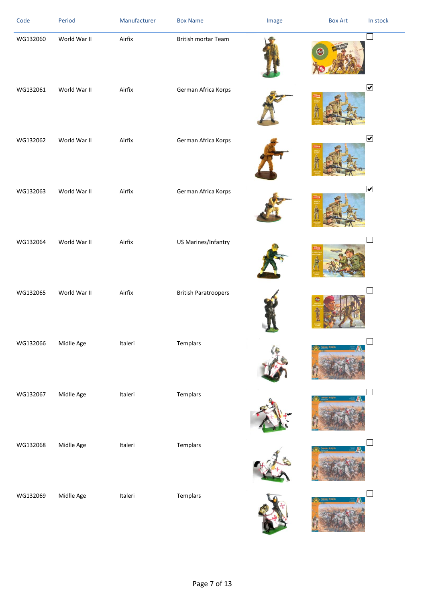| Code     | Period       | Manufacturer | <b>Box Name</b>             | Image | <b>Box Art</b> | In stock                     |
|----------|--------------|--------------|-----------------------------|-------|----------------|------------------------------|
| WG132060 | World War II | Airfix       | <b>British mortar Team</b>  |       |                |                              |
| WG132061 | World War II | Airfix       | German Africa Korps         |       |                | $\blacktriangledown$         |
| WG132062 | World War II | Airfix       | German Africa Korps         |       |                | $\blacktriangledown$         |
| WG132063 | World War II | Airfix       | German Africa Korps         |       |                | $\boxed{\blacktriangledown}$ |
| WG132064 | World War II | Airfix       | US Marines/Infantry         |       |                |                              |
| WG132065 | World War II | Airfix       | <b>British Paratroopers</b> |       |                |                              |
| WG132066 | Midlle Age   | Italeri      | Templars                    |       |                |                              |
| WG132067 | Midlle Age   | Italeri      | Templars                    |       |                |                              |
| WG132068 | Midlle Age   | Italeri      | Templars                    |       |                |                              |
| WG132069 | Midlle Age   | Italeri      | Templars                    |       |                |                              |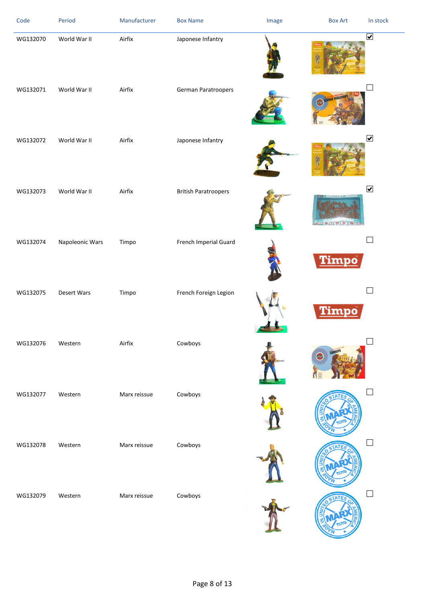| Code     | Period          | Manufacturer | <b>Box Name</b>             | Image | <b>Box Art</b>      | In stock                     |
|----------|-----------------|--------------|-----------------------------|-------|---------------------|------------------------------|
| WG132070 | World War II    | Airfix       | Japonese Infantry           |       |                     | $\boxed{\blacktriangledown}$ |
| WG132071 | World War II    | Airfix       | German Paratroopers         |       | <b>MAN PARATRI</b>  |                              |
| WG132072 | World War II    | Airfix       | Japonese Infantry           |       |                     | $\blacktriangledown$         |
| WG132073 | World War II    | Airfix       | <b>British Paratroopers</b> |       | <b>CONDICIO</b>     | $\blacktriangledown$         |
| WG132074 | Napoleonic Wars | Timpo        | French Imperial Guard       |       | Timpo               |                              |
| WG132075 | Desert Wars     | Timpo        | French Foreign Legion       |       | Timpo               |                              |
| WG132076 | Western         | Airfix       | Cowboys                     |       | <b>COWBOYS</b><br>画 |                              |
| WG132077 | Western         | Marx reissue | Cowboys                     |       |                     |                              |
| WG132078 | Western         | Marx reissue | Cowboys                     |       |                     |                              |
| WG132079 | Western         | Marx reissue | Cowboys                     |       |                     |                              |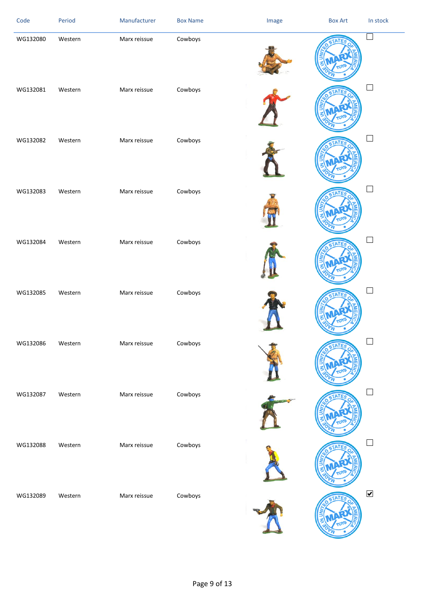| Code     | Period  | Manufacturer | <b>Box Name</b> | Image | <b>Box Art</b> | In stock             |
|----------|---------|--------------|-----------------|-------|----------------|----------------------|
| WG132080 | Western | Marx reissue | Cowboys         |       |                | $\Box$               |
| WG132081 | Western | Marx reissue | Cowboys         |       |                | $\Box$               |
| WG132082 | Western | Marx reissue | Cowboys         |       |                | $\Box$               |
| WG132083 | Western | Marx reissue | Cowboys         |       |                |                      |
| WG132084 | Western | Marx reissue | Cowboys         |       |                | $\Box$               |
| WG132085 | Western | Marx reissue | Cowboys         |       |                | $\Box$               |
| WG132086 | Western | Marx reissue | Cowboys         |       |                |                      |
| WG132087 | Western | Marx reissue | Cowboys         |       |                |                      |
| WG132088 | Western | Marx reissue | Cowboys         |       |                | $\Box$               |
| WG132089 | Western | Marx reissue | Cowboys         |       |                | $\blacktriangledown$ |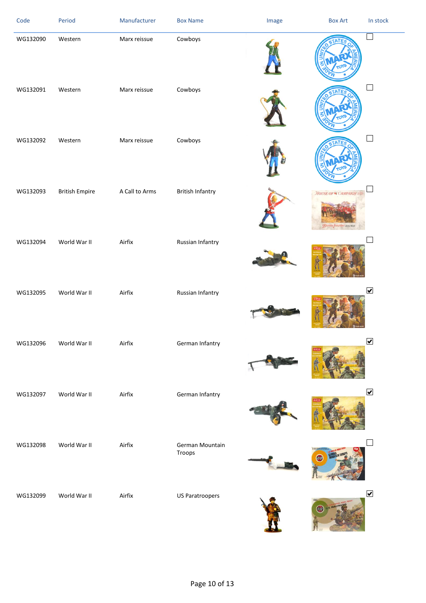| Code     | Period                | Manufacturer   | <b>Box Name</b>           | Image | <b>Box Art</b>                                             | In stock                     |
|----------|-----------------------|----------------|---------------------------|-------|------------------------------------------------------------|------------------------------|
| WG132090 | Western               | Marx reissue   | Cowboys                   |       |                                                            | $\Box$                       |
| WG132091 | Western               | Marx reissue   | Cowboys                   |       |                                                            | $\Box$                       |
| WG132092 | Western               | Marx reissue   | Cowboys                   |       |                                                            | $\Box$                       |
| WG132093 | <b>British Empire</b> | A Call to Arms | <b>British Infantry</b>   |       | <b>HOUSE OF THE CAMPAIGNETZ</b><br>BRITISH INFANTRY BLUWAR |                              |
| WG132094 | World War II          | Airfix         | Russian Infantry          |       |                                                            | ┚                            |
| WG132095 | World War II          | Airfix         | Russian Infantry          |       |                                                            | $\blacktriangledown$         |
| WG132096 | World War II          | Airfix         | German Infantry           |       |                                                            | $\boxed{\blacktriangledown}$ |
| WG132097 | World War II          | Airfix         | German Infantry           |       |                                                            | $\blacktriangledown$         |
| WG132098 | World War II          | Airfix         | German Mountain<br>Troops |       |                                                            | $\Box$                       |
| WG132099 | World War II          | Airfix         | <b>US Paratroopers</b>    |       |                                                            | $\blacktriangledown$         |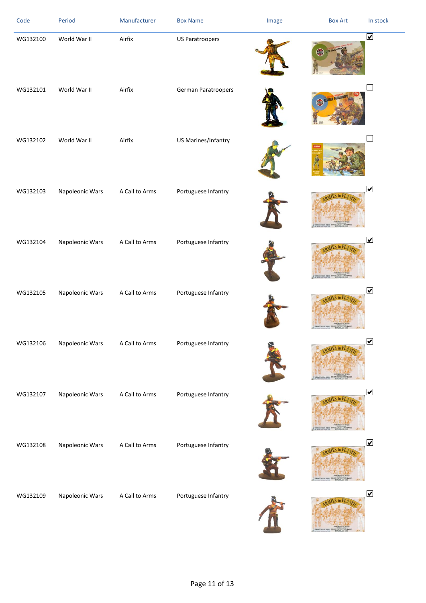| Code     | Period          | Manufacturer   | <b>Box Name</b>        | Image | <b>Box Art</b> | In stock                |
|----------|-----------------|----------------|------------------------|-------|----------------|-------------------------|
| WG132100 | World War II    | Airfix         | <b>US Paratroopers</b> |       | 國              | $\overline{\mathbf{v}}$ |
| WG132101 | World War II    | Airfix         | German Paratroopers    |       |                |                         |
| WG132102 | World War II    | Airfix         | US Marines/Infantry    |       |                |                         |
| WG132103 | Napoleonic Wars | A Call to Arms | Portuguese Infantry    |       |                | $\overline{\mathbf{v}}$ |
| WG132104 | Napoleonic Wars | A Call to Arms | Portuguese Infantry    |       |                | $\blacktriangledown$    |
| WG132105 | Napoleonic Wars | A Call to Arms | Portuguese Infantry    |       |                | $\blacktriangledown$    |
| WG132106 | Napoleonic Wars | A Call to Arms | Portuguese Infantry    |       |                | $\blacktriangledown$    |
| WG132107 | Napoleonic Wars | A Call to Arms | Portuguese Infantry    |       |                | $\blacktriangledown$    |
| WG132108 | Napoleonic Wars | A Call to Arms | Portuguese Infantry    |       |                | $\blacktriangledown$    |
| WG132109 | Napoleonic Wars | A Call to Arms | Portuguese Infantry    |       |                | $\blacktriangledown$    |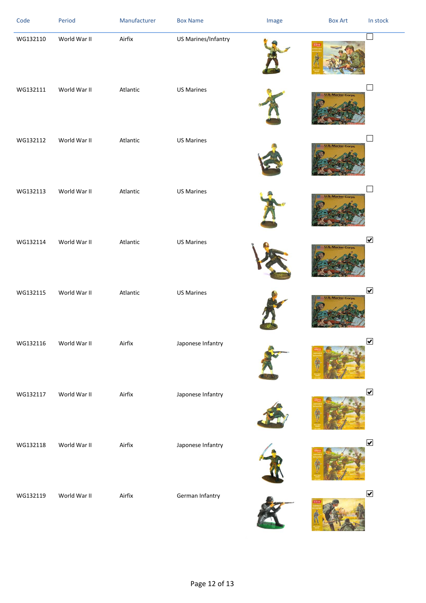| Code     | Period       | Manufacturer | <b>Box Name</b>     | Image | <b>Box Art</b>           | In stock                     |
|----------|--------------|--------------|---------------------|-------|--------------------------|------------------------------|
| WG132110 | World War II | Airfix       | US Marines/Infantry |       |                          | $\Box$                       |
| WG132111 | World War II | Atlantic     | <b>US Marines</b>   |       | <b>U.S. Marine Corps</b> |                              |
| WG132112 | World War II | Atlantic     | <b>US Marines</b>   |       | <b>U.S. Marine Corps</b> |                              |
| WG132113 | World War II | Atlantic     | <b>US Marines</b>   |       | <b>U.S. Marine Corps</b> |                              |
| WG132114 | World War II | Atlantic     | <b>US Marines</b>   |       | <b>S. Marine Corps</b>   | $\blacktriangledown$         |
| WG132115 | World War II | Atlantic     | <b>US Marines</b>   |       | <b>U.S. Marine Corps</b> | $\blacktriangledown$         |
| WG132116 | World War II | Airfix       | Japonese Infantry   |       |                          | $\blacktriangledown$         |
| WG132117 | World War II | Airfix       | Japonese Infantry   |       |                          | $\blacktriangledown$         |
| WG132118 | World War II | Airfix       | Japonese Infantry   |       |                          | $\blacktriangledown$         |
| WG132119 | World War II | Airfix       | German Infantry     |       |                          | $\boxed{\blacktriangledown}$ |